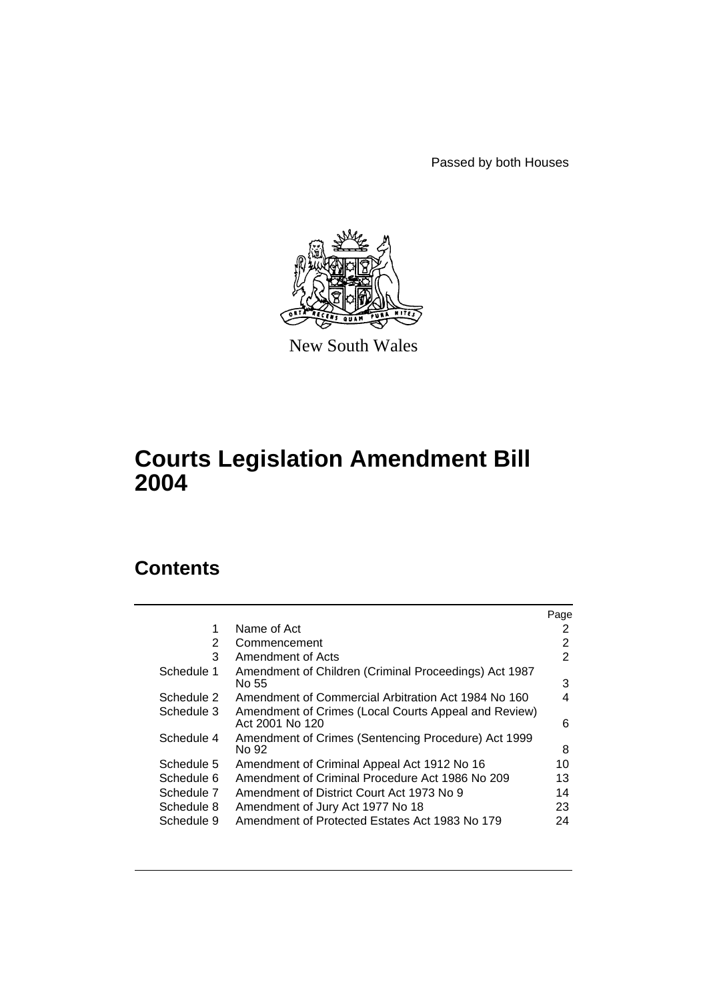Passed by both Houses



New South Wales

# **Courts Legislation Amendment Bill 2004**

# **Contents**

|            |                                                                         | Page |
|------------|-------------------------------------------------------------------------|------|
| 1          | Name of Act                                                             | 2    |
| 2          | Commencement                                                            | 2    |
| 3          | Amendment of Acts                                                       | 2    |
| Schedule 1 | Amendment of Children (Criminal Proceedings) Act 1987<br>No 55          | 3    |
| Schedule 2 | Amendment of Commercial Arbitration Act 1984 No 160                     | 4    |
| Schedule 3 | Amendment of Crimes (Local Courts Appeal and Review)<br>Act 2001 No 120 | 6    |
| Schedule 4 | Amendment of Crimes (Sentencing Procedure) Act 1999<br>No 92            | 8    |
| Schedule 5 | Amendment of Criminal Appeal Act 1912 No 16                             | 10   |
| Schedule 6 | Amendment of Criminal Procedure Act 1986 No 209                         | 13   |
| Schedule 7 | Amendment of District Court Act 1973 No 9                               | 14   |
| Schedule 8 | Amendment of Jury Act 1977 No 18                                        | 23   |
| Schedule 9 | Amendment of Protected Estates Act 1983 No 179                          | 24   |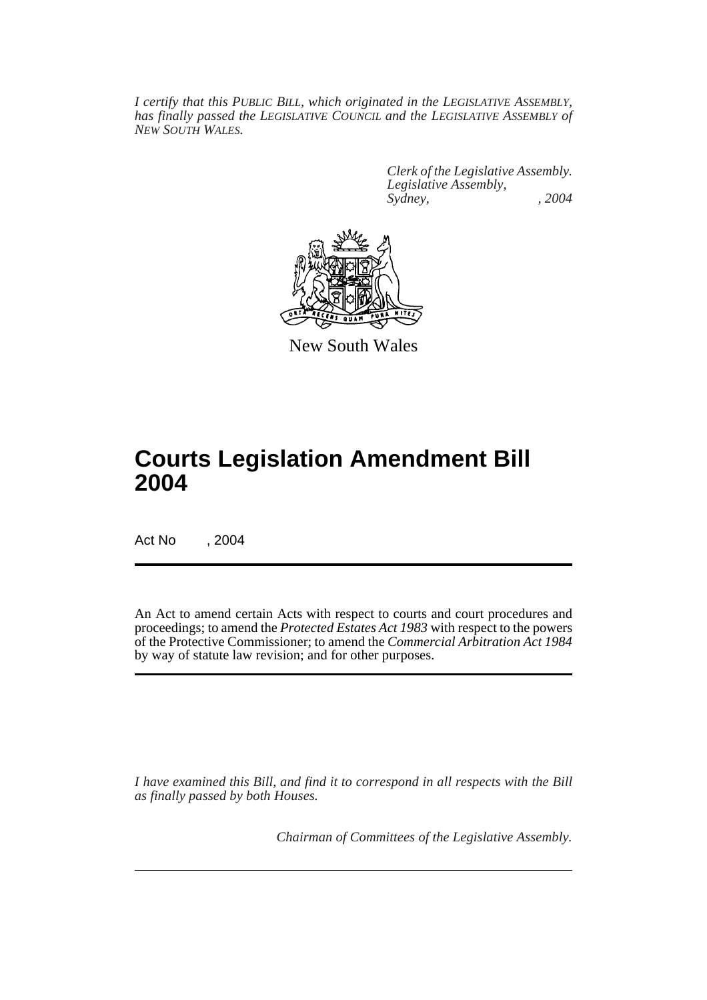*I certify that this PUBLIC BILL, which originated in the LEGISLATIVE ASSEMBLY, has finally passed the LEGISLATIVE COUNCIL and the LEGISLATIVE ASSEMBLY of NEW SOUTH WALES.*

> *Clerk of the Legislative Assembly. Legislative Assembly, Sydney, , 2004*



New South Wales

# **Courts Legislation Amendment Bill 2004**

Act No , 2004

An Act to amend certain Acts with respect to courts and court procedures and proceedings; to amend the *Protected Estates Act 1983* with respect to the powers of the Protective Commissioner; to amend the *Commercial Arbitration Act 1984* by way of statute law revision; and for other purposes.

*I have examined this Bill, and find it to correspond in all respects with the Bill as finally passed by both Houses.*

*Chairman of Committees of the Legislative Assembly.*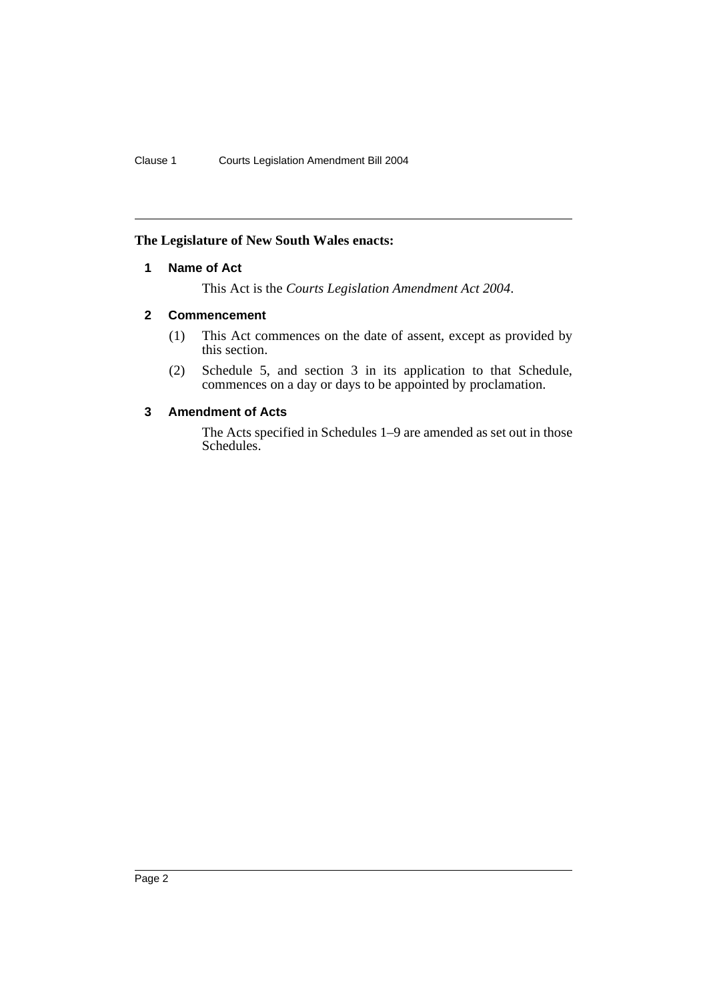# **The Legislature of New South Wales enacts:**

# **1 Name of Act**

This Act is the *Courts Legislation Amendment Act 2004*.

# **2 Commencement**

- (1) This Act commences on the date of assent, except as provided by this section.
- (2) Schedule 5, and section 3 in its application to that Schedule, commences on a day or days to be appointed by proclamation.

# **3 Amendment of Acts**

The Acts specified in Schedules 1–9 are amended as set out in those Schedules.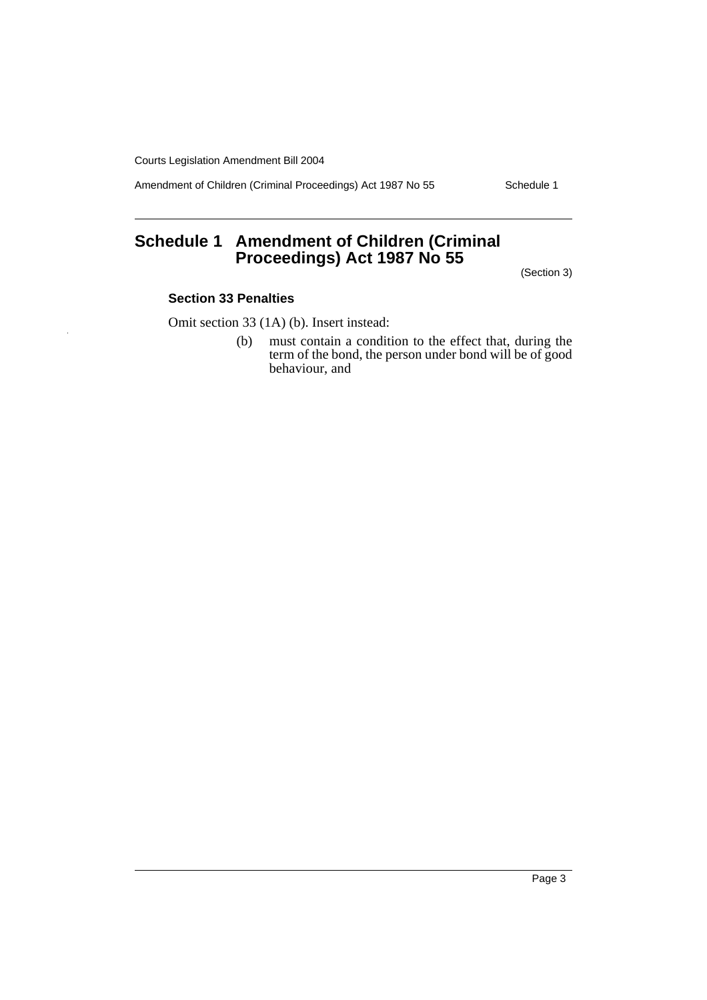Amendment of Children (Criminal Proceedings) Act 1987 No 55 Schedule 1

# **Schedule 1 Amendment of Children (Criminal Proceedings) Act 1987 No 55**

(Section 3)

### **Section 33 Penalties**

Omit section 33 (1A) (b). Insert instead:

(b) must contain a condition to the effect that, during the term of the bond, the person under bond will be of good behaviour, and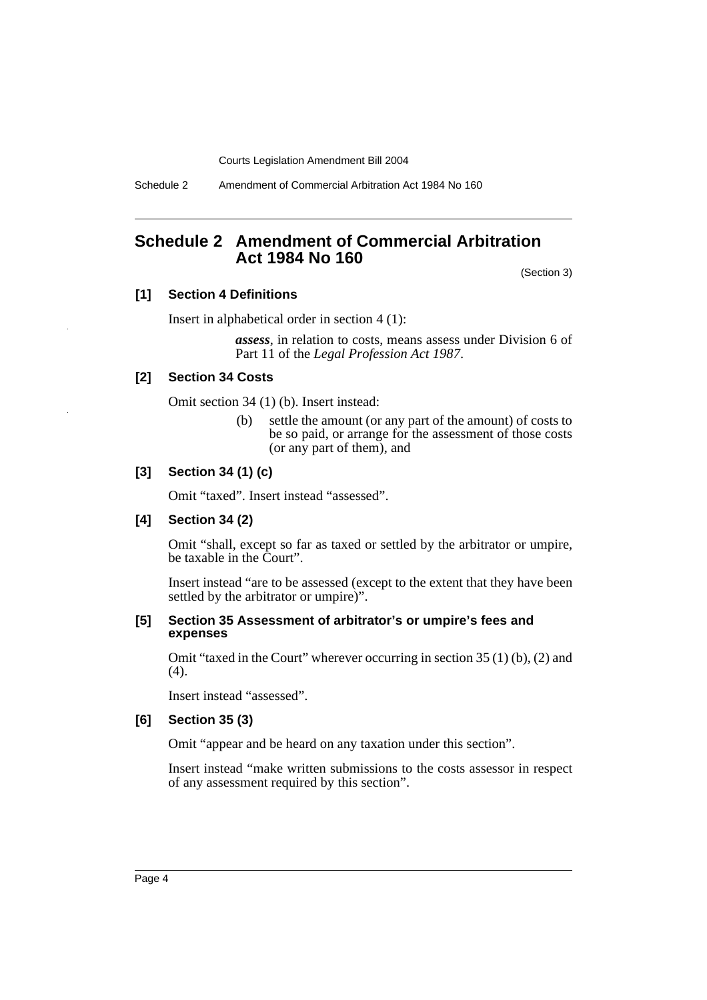Schedule 2 Amendment of Commercial Arbitration Act 1984 No 160

# **Schedule 2 Amendment of Commercial Arbitration Act 1984 No 160**

(Section 3)

# **[1] Section 4 Definitions**

Insert in alphabetical order in section 4 (1):

*assess*, in relation to costs, means assess under Division 6 of Part 11 of the *Legal Profession Act 1987*.

### **[2] Section 34 Costs**

Omit section 34 (1) (b). Insert instead:

(b) settle the amount (or any part of the amount) of costs to be so paid, or arrange for the assessment of those costs (or any part of them), and

### **[3] Section 34 (1) (c)**

Omit "taxed". Insert instead "assessed".

### **[4] Section 34 (2)**

Omit "shall, except so far as taxed or settled by the arbitrator or umpire, be taxable in the Court".

Insert instead "are to be assessed (except to the extent that they have been settled by the arbitrator or umpire)".

### **[5] Section 35 Assessment of arbitrator's or umpire's fees and expenses**

Omit "taxed in the Court" wherever occurring in section 35 (1) (b), (2) and (4).

Insert instead "assessed".

### **[6] Section 35 (3)**

Omit "appear and be heard on any taxation under this section".

Insert instead "make written submissions to the costs assessor in respect of any assessment required by this section".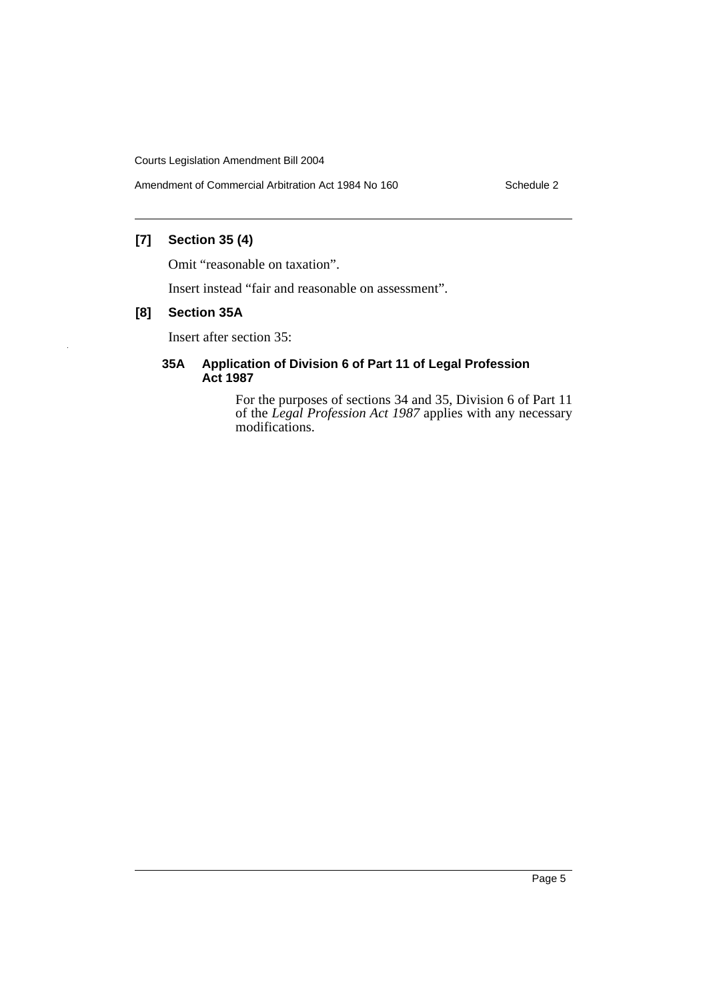Amendment of Commercial Arbitration Act 1984 No 160 Schedule 2

# **[7] Section 35 (4)**

Omit "reasonable on taxation".

Insert instead "fair and reasonable on assessment".

# **[8] Section 35A**

Insert after section 35:

### **35A Application of Division 6 of Part 11 of Legal Profession Act 1987**

For the purposes of sections 34 and 35, Division 6 of Part 11 of the *Legal Profession Act 1987* applies with any necessary modifications.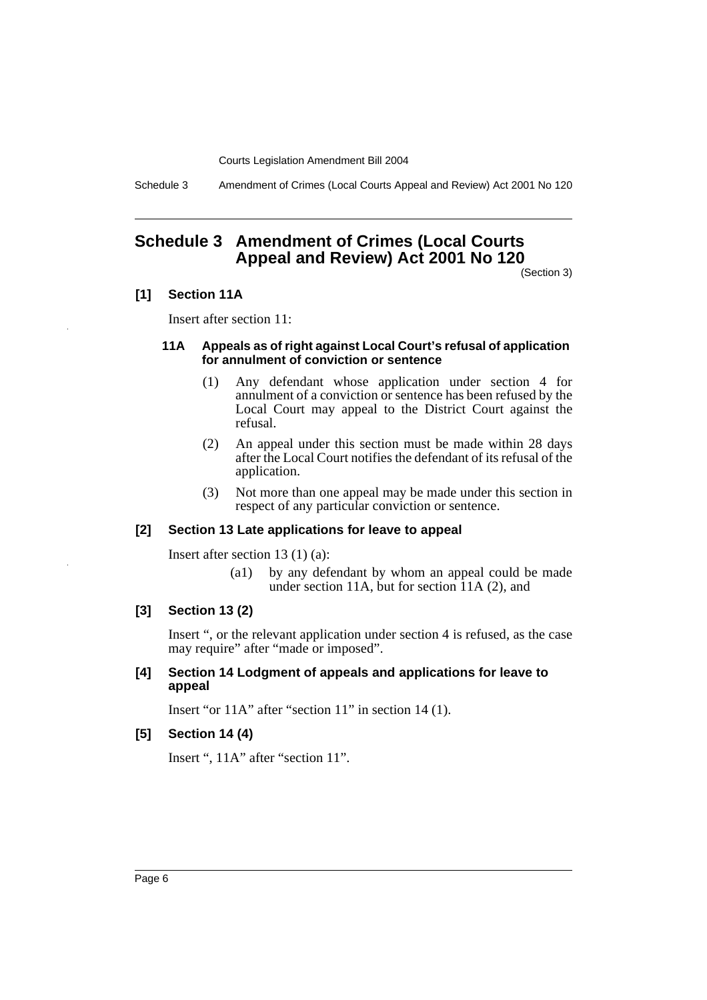Schedule 3 Amendment of Crimes (Local Courts Appeal and Review) Act 2001 No 120

# **Schedule 3 Amendment of Crimes (Local Courts Appeal and Review) Act 2001 No 120**

(Section 3)

### **[1] Section 11A**

Insert after section 11:

### **11A Appeals as of right against Local Court's refusal of application for annulment of conviction or sentence**

- (1) Any defendant whose application under section 4 for annulment of a conviction or sentence has been refused by the Local Court may appeal to the District Court against the refusal.
- (2) An appeal under this section must be made within 28 days after the Local Court notifies the defendant of its refusal of the application.
- (3) Not more than one appeal may be made under this section in respect of any particular conviction or sentence.

### **[2] Section 13 Late applications for leave to appeal**

Insert after section 13 (1) (a):

(a1) by any defendant by whom an appeal could be made under section 11A, but for section  $11A(2)$ , and

## **[3] Section 13 (2)**

Insert ", or the relevant application under section 4 is refused, as the case may require" after "made or imposed".

### **[4] Section 14 Lodgment of appeals and applications for leave to appeal**

Insert "or 11A" after "section 11" in section 14 (1).

### **[5] Section 14 (4)**

Insert ", 11A" after "section 11".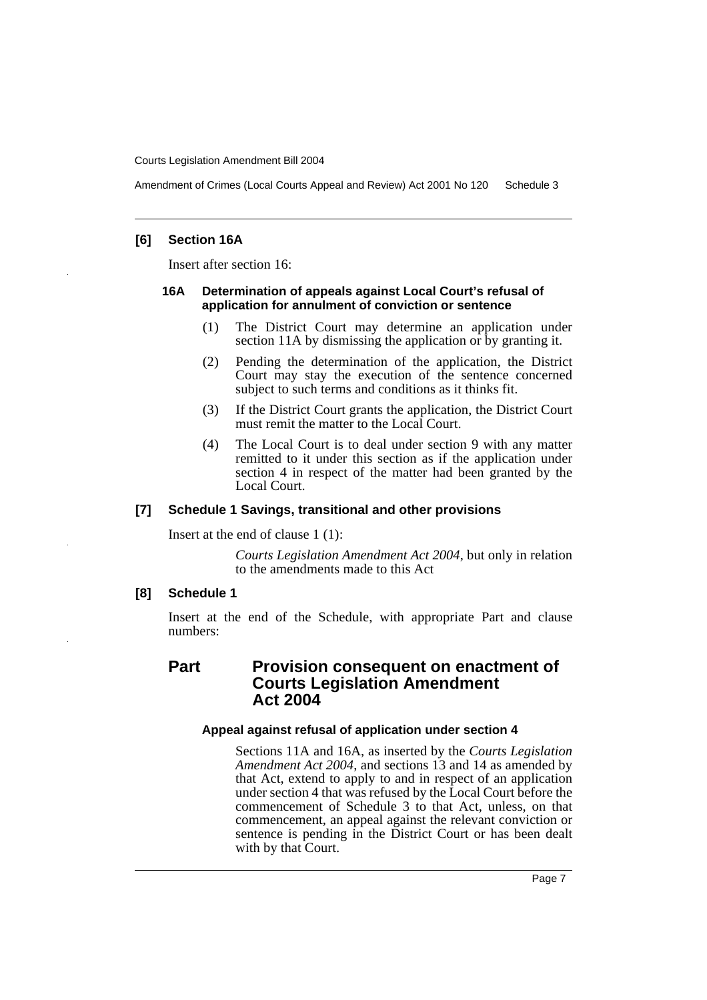Amendment of Crimes (Local Courts Appeal and Review) Act 2001 No 120 Schedule 3

### **[6] Section 16A**

Insert after section 16:

#### **16A Determination of appeals against Local Court's refusal of application for annulment of conviction or sentence**

- (1) The District Court may determine an application under section 11A by dismissing the application or by granting it.
- (2) Pending the determination of the application, the District Court may stay the execution of the sentence concerned subject to such terms and conditions as it thinks fit.
- (3) If the District Court grants the application, the District Court must remit the matter to the Local Court.
- (4) The Local Court is to deal under section 9 with any matter remitted to it under this section as if the application under section 4 in respect of the matter had been granted by the Local Court.

### **[7] Schedule 1 Savings, transitional and other provisions**

Insert at the end of clause 1 (1):

*Courts Legislation Amendment Act 2004*, but only in relation to the amendments made to this Act

### **[8] Schedule 1**

Insert at the end of the Schedule, with appropriate Part and clause numbers:

# **Part Provision consequent on enactment of Courts Legislation Amendment Act 2004**

### **Appeal against refusal of application under section 4**

Sections 11A and 16A, as inserted by the *Courts Legislation Amendment Act 2004*, and sections 13 and 14 as amended by that Act, extend to apply to and in respect of an application under section 4 that was refused by the Local Court before the commencement of Schedule 3 to that Act, unless, on that commencement, an appeal against the relevant conviction or sentence is pending in the District Court or has been dealt with by that Court.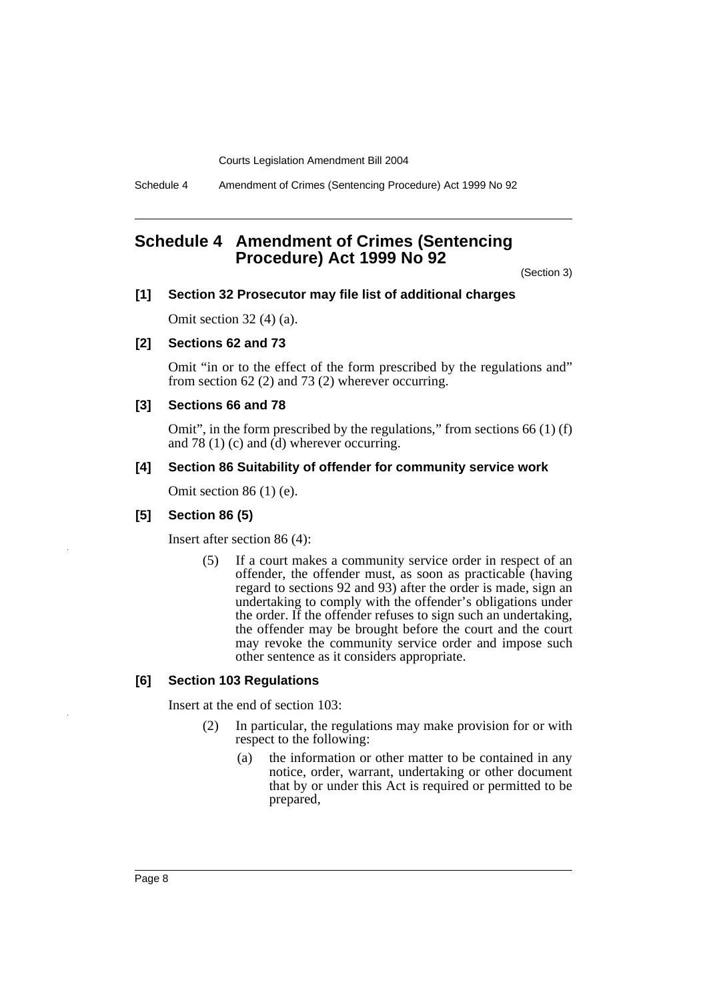Schedule 4 Amendment of Crimes (Sentencing Procedure) Act 1999 No 92

# **Schedule 4 Amendment of Crimes (Sentencing Procedure) Act 1999 No 92**

(Section 3)

### **[1] Section 32 Prosecutor may file list of additional charges**

Omit section 32 (4) (a).

## **[2] Sections 62 and 73**

Omit "in or to the effect of the form prescribed by the regulations and" from section 62 (2) and 73 (2) wherever occurring.

### **[3] Sections 66 and 78**

Omit", in the form prescribed by the regulations," from sections 66 (1) (f) and 78 (1) (c) and  $\dot{d}$ ) wherever occurring.

### **[4] Section 86 Suitability of offender for community service work**

Omit section 86 (1) (e).

### **[5] Section 86 (5)**

Insert after section 86 (4):

(5) If a court makes a community service order in respect of an offender, the offender must, as soon as practicable (having regard to sections 92 and 93) after the order is made, sign an undertaking to comply with the offender's obligations under the order. If the offender refuses to sign such an undertaking, the offender may be brought before the court and the court may revoke the community service order and impose such other sentence as it considers appropriate.

### **[6] Section 103 Regulations**

Insert at the end of section 103:

- (2) In particular, the regulations may make provision for or with respect to the following:
	- (a) the information or other matter to be contained in any notice, order, warrant, undertaking or other document that by or under this Act is required or permitted to be prepared,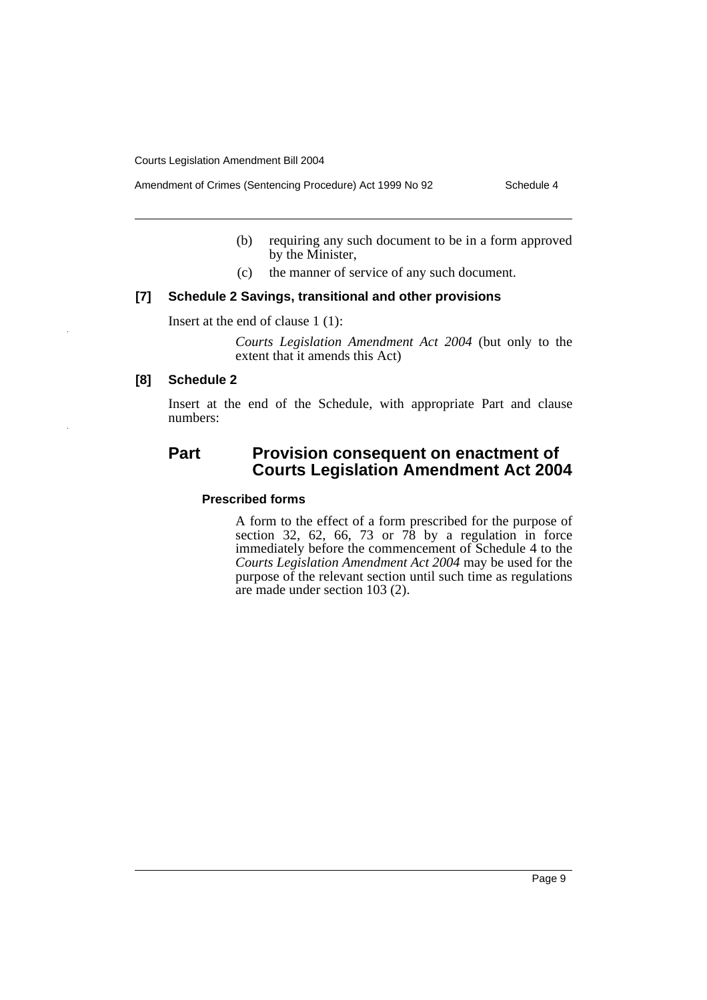Amendment of Crimes (Sentencing Procedure) Act 1999 No 92 Schedule 4

- (b) requiring any such document to be in a form approved by the Minister,
- (c) the manner of service of any such document.

### **[7] Schedule 2 Savings, transitional and other provisions**

Insert at the end of clause 1 (1):

*Courts Legislation Amendment Act 2004* (but only to the extent that it amends this Act)

### **[8] Schedule 2**

Insert at the end of the Schedule, with appropriate Part and clause numbers:

# **Part Provision consequent on enactment of Courts Legislation Amendment Act 2004**

# **Prescribed forms**

A form to the effect of a form prescribed for the purpose of section 32, 62, 66, 73 or  $7\overline{8}$  by a regulation in force immediately before the commencement of Schedule 4 to the *Courts Legislation Amendment Act 2004* may be used for the purpose of the relevant section until such time as regulations are made under section 103 (2).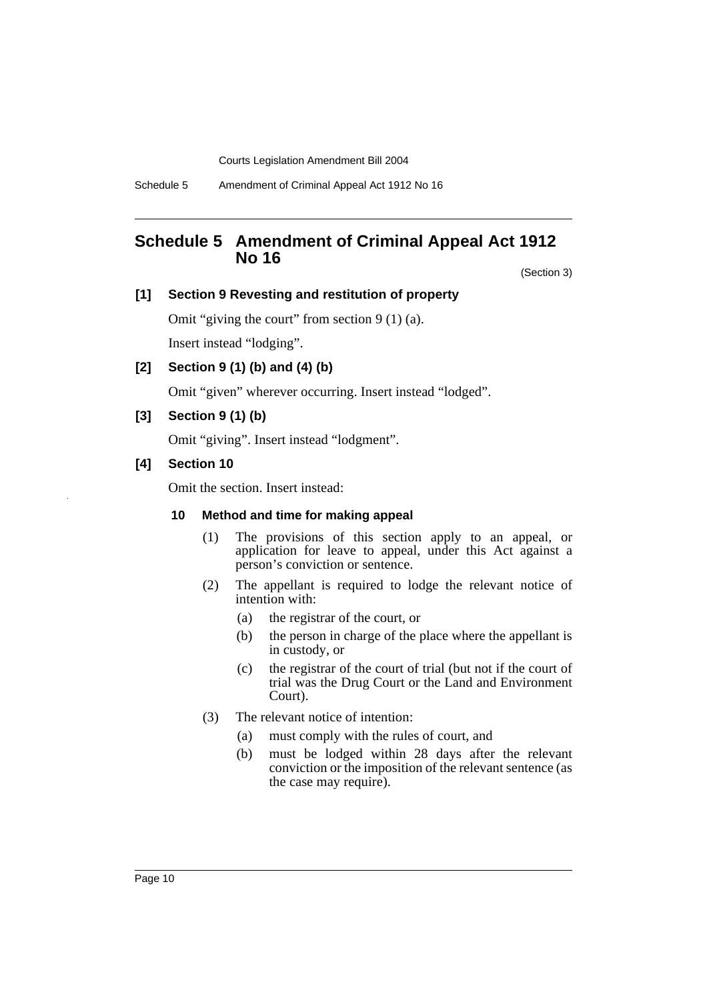Schedule 5 Amendment of Criminal Appeal Act 1912 No 16

# **Schedule 5 Amendment of Criminal Appeal Act 1912 No 16**

(Section 3)

### **[1] Section 9 Revesting and restitution of property**

Omit "giving the court" from section 9 (1) (a).

Insert instead "lodging".

**[2] Section 9 (1) (b) and (4) (b)**

Omit "given" wherever occurring. Insert instead "lodged".

**[3] Section 9 (1) (b)**

Omit "giving". Insert instead "lodgment".

**[4] Section 10**

Omit the section. Insert instead:

# **10 Method and time for making appeal**

- (1) The provisions of this section apply to an appeal, or application for leave to appeal, under this Act against a person's conviction or sentence.
- (2) The appellant is required to lodge the relevant notice of intention with:
	- (a) the registrar of the court, or
	- (b) the person in charge of the place where the appellant is in custody, or
	- (c) the registrar of the court of trial (but not if the court of trial was the Drug Court or the Land and Environment Court).
- (3) The relevant notice of intention:
	- (a) must comply with the rules of court, and
	- (b) must be lodged within 28 days after the relevant conviction or the imposition of the relevant sentence (as the case may require).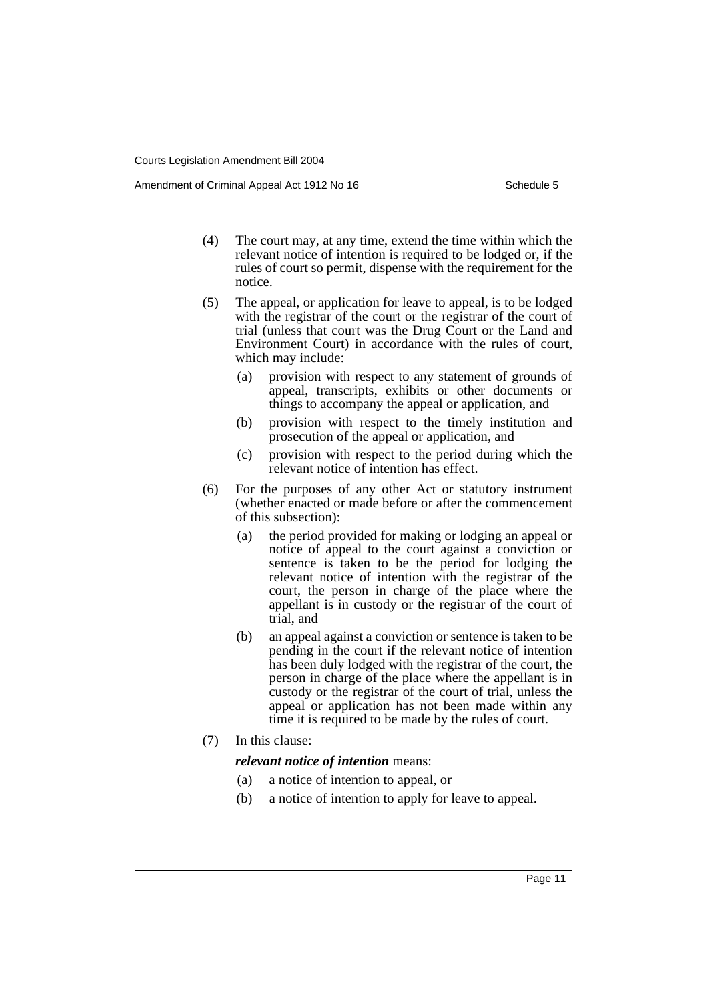Amendment of Criminal Appeal Act 1912 No 16 Schedule 5 Schedule 5

- (4) The court may, at any time, extend the time within which the relevant notice of intention is required to be lodged or, if the rules of court so permit, dispense with the requirement for the notice.
- (5) The appeal, or application for leave to appeal, is to be lodged with the registrar of the court or the registrar of the court of trial (unless that court was the Drug Court or the Land and Environment Court) in accordance with the rules of court, which may include:
	- (a) provision with respect to any statement of grounds of appeal, transcripts, exhibits or other documents or things to accompany the appeal or application, and
	- (b) provision with respect to the timely institution and prosecution of the appeal or application, and
	- (c) provision with respect to the period during which the relevant notice of intention has effect.
- (6) For the purposes of any other Act or statutory instrument (whether enacted or made before or after the commencement of this subsection):
	- (a) the period provided for making or lodging an appeal or notice of appeal to the court against a conviction or sentence is taken to be the period for lodging the relevant notice of intention with the registrar of the court, the person in charge of the place where the appellant is in custody or the registrar of the court of trial, and
	- (b) an appeal against a conviction or sentence is taken to be pending in the court if the relevant notice of intention has been duly lodged with the registrar of the court, the person in charge of the place where the appellant is in custody or the registrar of the court of trial, unless the appeal or application has not been made within any time it is required to be made by the rules of court.
- (7) In this clause:

### *relevant notice of intention* means:

- (a) a notice of intention to appeal, or
- (b) a notice of intention to apply for leave to appeal.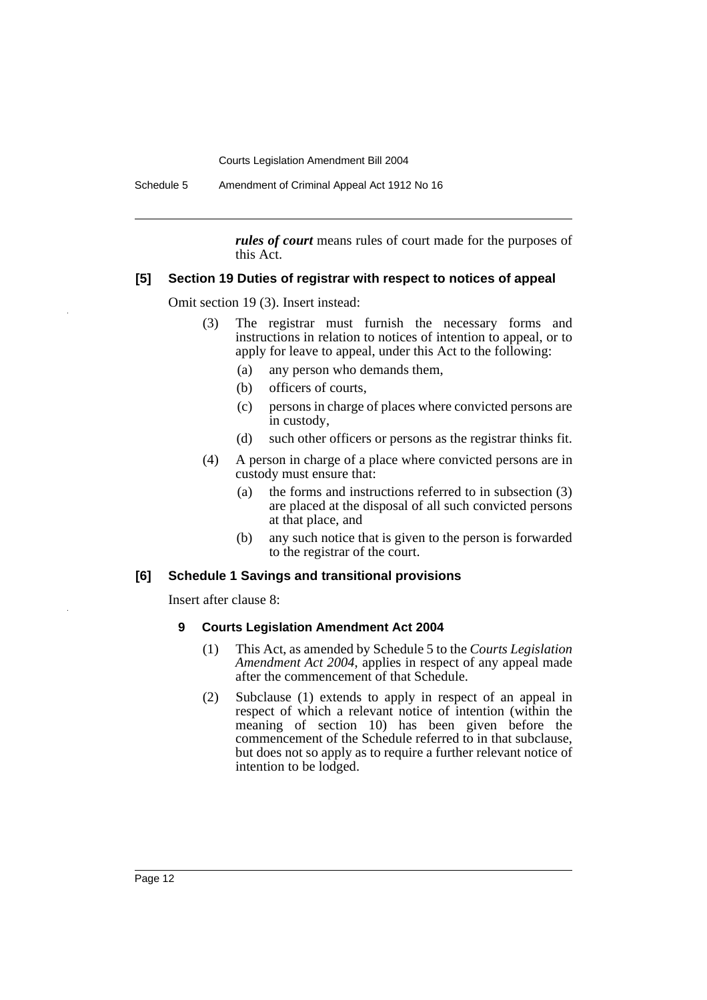Schedule 5 Amendment of Criminal Appeal Act 1912 No 16

*rules of court* means rules of court made for the purposes of this Act.

### **[5] Section 19 Duties of registrar with respect to notices of appeal**

Omit section 19 (3). Insert instead:

- (3) The registrar must furnish the necessary forms and instructions in relation to notices of intention to appeal, or to apply for leave to appeal, under this Act to the following:
	- (a) any person who demands them,
	- (b) officers of courts,
	- (c) persons in charge of places where convicted persons are in custody,
	- (d) such other officers or persons as the registrar thinks fit.
- (4) A person in charge of a place where convicted persons are in custody must ensure that:
	- (a) the forms and instructions referred to in subsection (3) are placed at the disposal of all such convicted persons at that place, and
	- (b) any such notice that is given to the person is forwarded to the registrar of the court.

### **[6] Schedule 1 Savings and transitional provisions**

Insert after clause 8:

### **9 Courts Legislation Amendment Act 2004**

- (1) This Act, as amended by Schedule 5 to the *Courts Legislation Amendment Act 2004*, applies in respect of any appeal made after the commencement of that Schedule.
- (2) Subclause (1) extends to apply in respect of an appeal in respect of which a relevant notice of intention (within the meaning of section 10) has been given before the commencement of the Schedule referred to in that subclause, but does not so apply as to require a further relevant notice of intention to be lodged.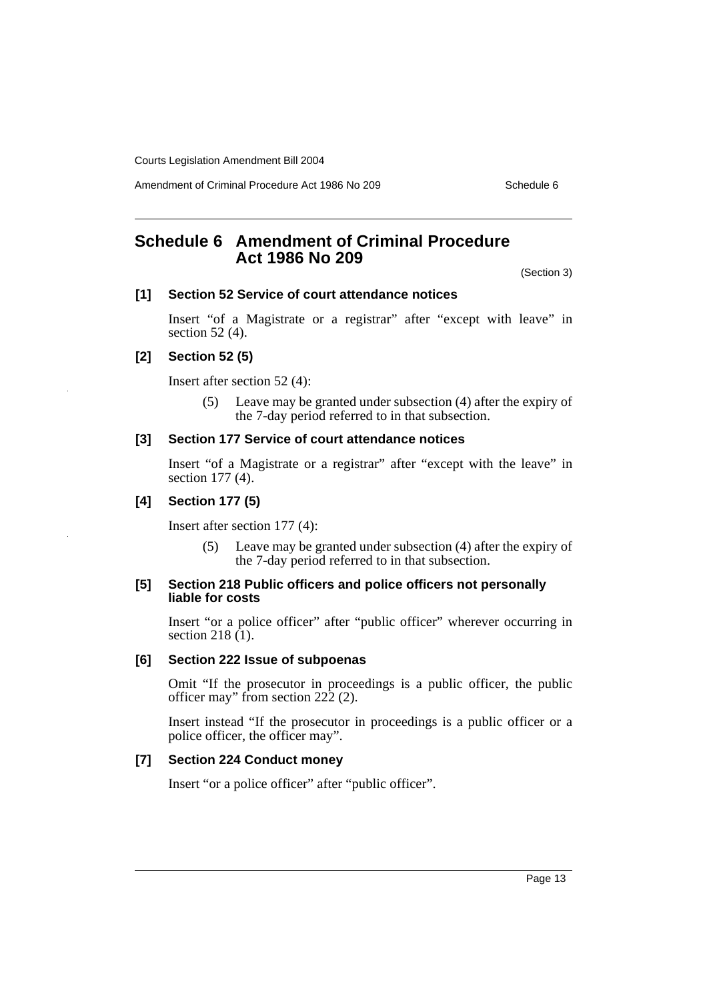Amendment of Criminal Procedure Act 1986 No 209 Schedule 6

# **Schedule 6 Amendment of Criminal Procedure Act 1986 No 209**

(Section 3)

### **[1] Section 52 Service of court attendance notices**

Insert "of a Magistrate or a registrar" after "except with leave" in section 52 (4).

### **[2] Section 52 (5)**

Insert after section 52 (4):

(5) Leave may be granted under subsection (4) after the expiry of the 7-day period referred to in that subsection.

# **[3] Section 177 Service of court attendance notices**

Insert "of a Magistrate or a registrar" after "except with the leave" in section 177 (4).

### **[4] Section 177 (5)**

Insert after section 177 (4):

(5) Leave may be granted under subsection (4) after the expiry of the 7-day period referred to in that subsection.

### **[5] Section 218 Public officers and police officers not personally liable for costs**

Insert "or a police officer" after "public officer" wherever occurring in section 218  $(1)$ .

# **[6] Section 222 Issue of subpoenas**

Omit "If the prosecutor in proceedings is a public officer, the public officer may" from section 222 (2).

Insert instead "If the prosecutor in proceedings is a public officer or a police officer, the officer may".

### **[7] Section 224 Conduct money**

Insert "or a police officer" after "public officer".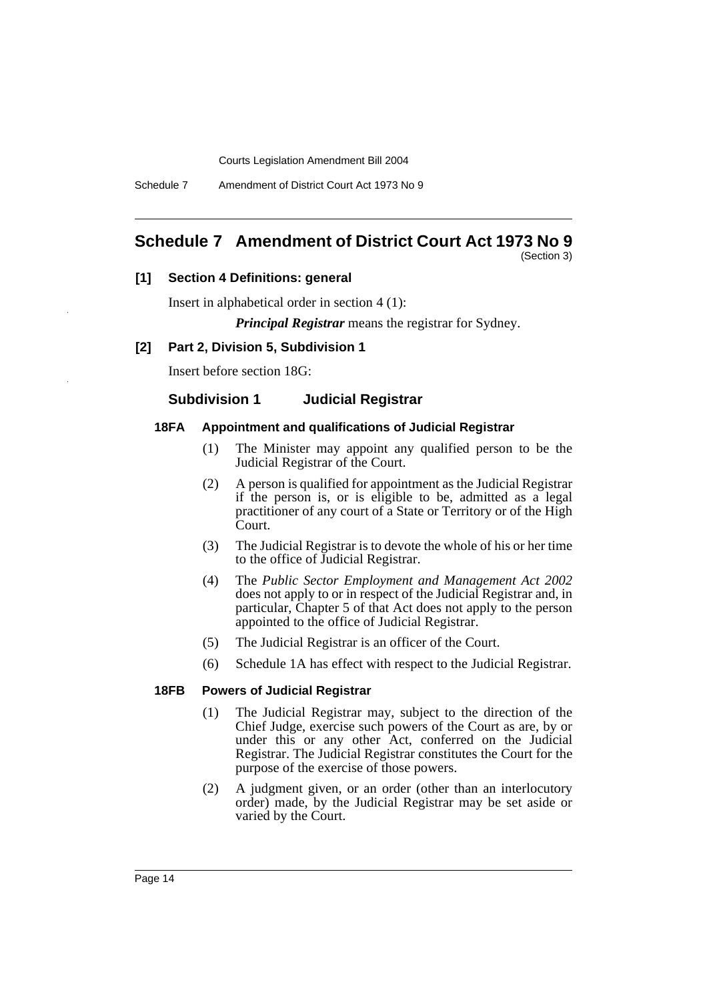Schedule 7 Amendment of District Court Act 1973 No 9

# **Schedule 7 Amendment of District Court Act 1973 No 9**

(Section 3)

# **[1] Section 4 Definitions: general**

Insert in alphabetical order in section 4 (1):

*Principal Registrar* means the registrar for Sydney.

# **[2] Part 2, Division 5, Subdivision 1**

Insert before section 18G:

# **Subdivision 1 Judicial Registrar**

# **18FA Appointment and qualifications of Judicial Registrar**

- (1) The Minister may appoint any qualified person to be the Judicial Registrar of the Court.
- (2) A person is qualified for appointment as the Judicial Registrar if the person is, or is eligible to be, admitted as a legal practitioner of any court of a State or Territory or of the High Court.
- (3) The Judicial Registrar is to devote the whole of his or her time to the office of Judicial Registrar.
- (4) The *Public Sector Employment and Management Act 2002* does not apply to or in respect of the Judicial Registrar and, in particular, Chapter 5 of that Act does not apply to the person appointed to the office of Judicial Registrar.
- (5) The Judicial Registrar is an officer of the Court.
- (6) Schedule 1A has effect with respect to the Judicial Registrar.

# **18FB Powers of Judicial Registrar**

- (1) The Judicial Registrar may, subject to the direction of the Chief Judge, exercise such powers of the Court as are, by or under this or any other Act, conferred on the Judicial Registrar. The Judicial Registrar constitutes the Court for the purpose of the exercise of those powers.
- (2) A judgment given, or an order (other than an interlocutory order) made, by the Judicial Registrar may be set aside or varied by the Court.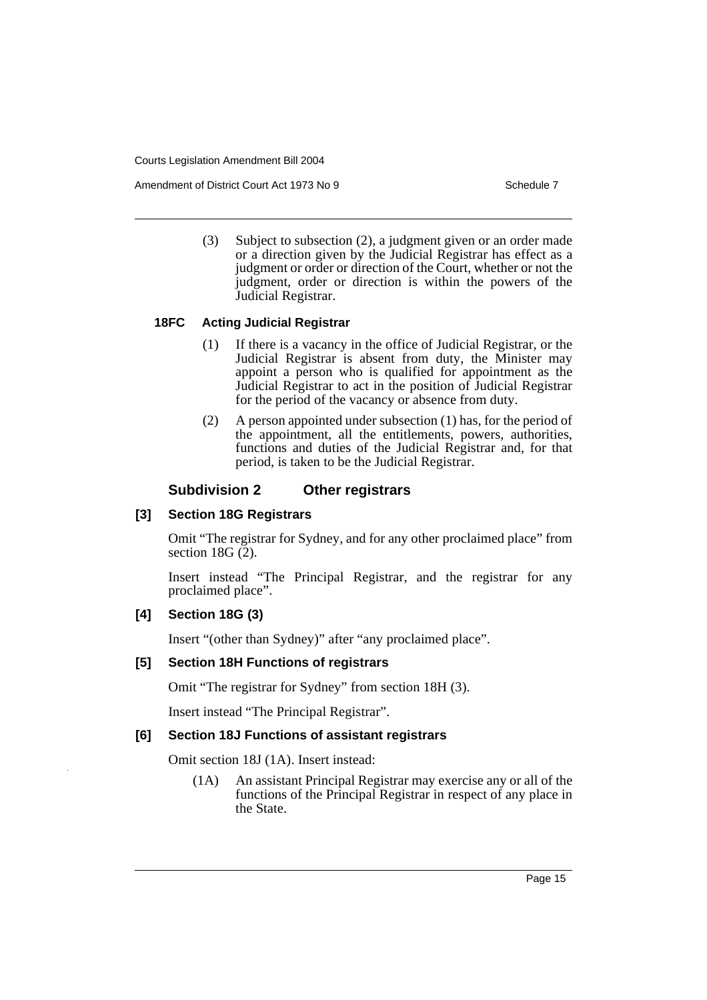Amendment of District Court Act 1973 No 9 Schedule 7 Schedule 7

(3) Subject to subsection (2), a judgment given or an order made or a direction given by the Judicial Registrar has effect as a judgment or order or direction of the Court, whether or not the judgment, order or direction is within the powers of the Judicial Registrar.

### **18FC Acting Judicial Registrar**

- (1) If there is a vacancy in the office of Judicial Registrar, or the Judicial Registrar is absent from duty, the Minister may appoint a person who is qualified for appointment as the Judicial Registrar to act in the position of Judicial Registrar for the period of the vacancy or absence from duty.
- (2) A person appointed under subsection (1) has, for the period of the appointment, all the entitlements, powers, authorities, functions and duties of the Judicial Registrar and, for that period, is taken to be the Judicial Registrar.

### **Subdivision 2 Other registrars**

### **[3] Section 18G Registrars**

Omit "The registrar for Sydney, and for any other proclaimed place" from section 18G $(2)$ .

Insert instead "The Principal Registrar, and the registrar for any proclaimed place".

### **[4] Section 18G (3)**

Insert "(other than Sydney)" after "any proclaimed place".

# **[5] Section 18H Functions of registrars**

Omit "The registrar for Sydney" from section 18H (3).

Insert instead "The Principal Registrar".

### **[6] Section 18J Functions of assistant registrars**

Omit section 18J (1A). Insert instead:

(1A) An assistant Principal Registrar may exercise any or all of the functions of the Principal Registrar in respect of any place in the State.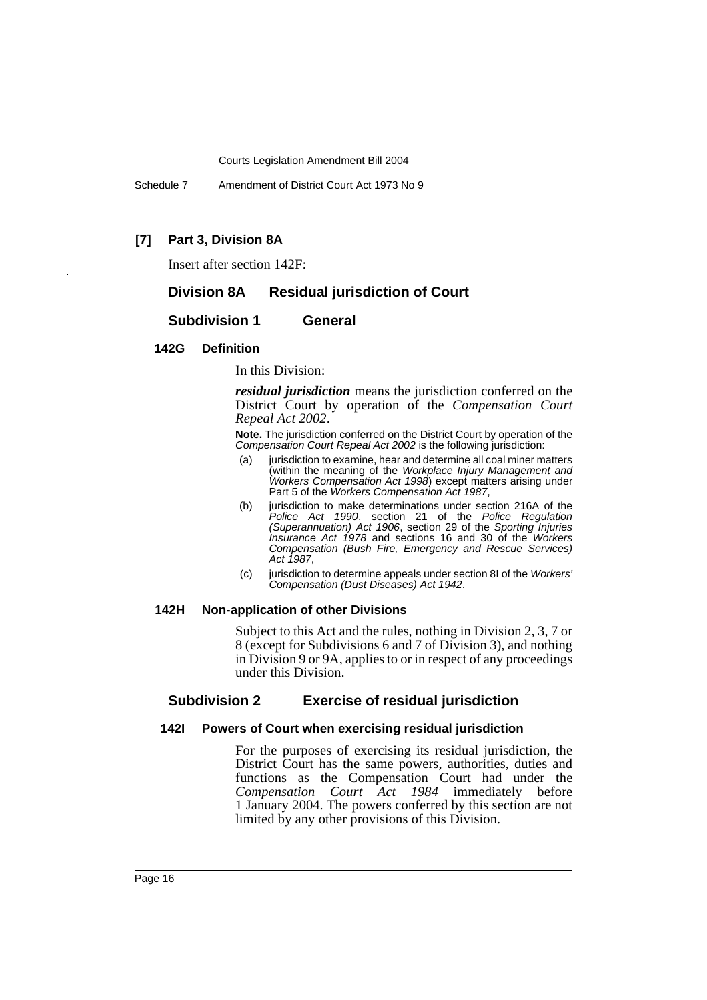Schedule 7 Amendment of District Court Act 1973 No 9

# **[7] Part 3, Division 8A**

Insert after section 142F:

# **Division 8A Residual jurisdiction of Court**

### **Subdivision 1 General**

### **142G Definition**

In this Division:

*residual jurisdiction* means the jurisdiction conferred on the District Court by operation of the *Compensation Court Repeal Act 2002*.

**Note.** The jurisdiction conferred on the District Court by operation of the *Compensation Court Repeal Act 2002* is the following jurisdiction:

- (a) jurisdiction to examine, hear and determine all coal miner matters (within the meaning of the *Workplace Injury Management and Workers Compensation Act 1998*) except matters arising under Part 5 of the *Workers Compensation Act 1987*,
- (b) jurisdiction to make determinations under section 216A of the *Police Act 1990*, section 21 of the *Police Regulation (Superannuation) Act 1906*, section 29 of the *Sporting Injuries Insurance Act 1978* and sections 16 and 30 of the *Workers Compensation (Bush Fire, Emergency and Rescue Services) Act 1987*,
- (c) jurisdiction to determine appeals under section 8I of the *Workers' Compensation (Dust Diseases) Act 1942*.

### **142H Non-application of other Divisions**

Subject to this Act and the rules, nothing in Division 2, 3, 7 or 8 (except for Subdivisions 6 and 7 of Division 3), and nothing in Division 9 or 9A, applies to or in respect of any proceedings under this Division.

# **Subdivision 2 Exercise of residual jurisdiction**

### **142I Powers of Court when exercising residual jurisdiction**

For the purposes of exercising its residual jurisdiction, the District Court has the same powers, authorities, duties and functions as the Compensation Court had under the *Compensation Court Act 1984* immediately before 1 January 2004. The powers conferred by this section are not limited by any other provisions of this Division.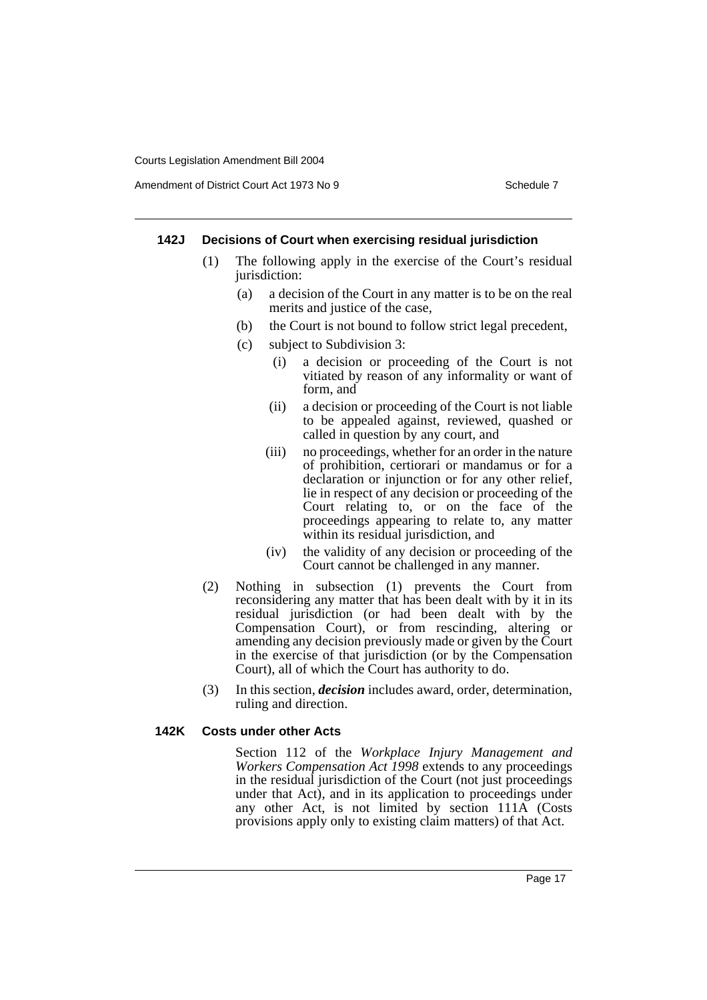### **142J Decisions of Court when exercising residual jurisdiction**

- (1) The following apply in the exercise of the Court's residual jurisdiction:
	- (a) a decision of the Court in any matter is to be on the real merits and justice of the case,
	- (b) the Court is not bound to follow strict legal precedent,
	- (c) subject to Subdivision 3:
		- (i) a decision or proceeding of the Court is not vitiated by reason of any informality or want of form, and
		- (ii) a decision or proceeding of the Court is not liable to be appealed against, reviewed, quashed or called in question by any court, and
		- (iii) no proceedings, whether for an order in the nature of prohibition, certiorari or mandamus or for a declaration or injunction or for any other relief, lie in respect of any decision or proceeding of the Court relating to, or on the face of the proceedings appearing to relate to, any matter within its residual jurisdiction, and
		- (iv) the validity of any decision or proceeding of the Court cannot be challenged in any manner.
- (2) Nothing in subsection (1) prevents the Court from reconsidering any matter that has been dealt with by it in its residual jurisdiction (or had been dealt with by the Compensation Court), or from rescinding, altering or amending any decision previously made or given by the Court in the exercise of that jurisdiction (or by the Compensation Court), all of which the Court has authority to do.
- (3) In this section, *decision* includes award, order, determination, ruling and direction.

### **142K Costs under other Acts**

Section 112 of the *Workplace Injury Management and Workers Compensation Act 1998* extends to any proceedings in the residual jurisdiction of the Court (not just proceedings under that Act), and in its application to proceedings under any other Act, is not limited by section 111A (Costs provisions apply only to existing claim matters) of that Act.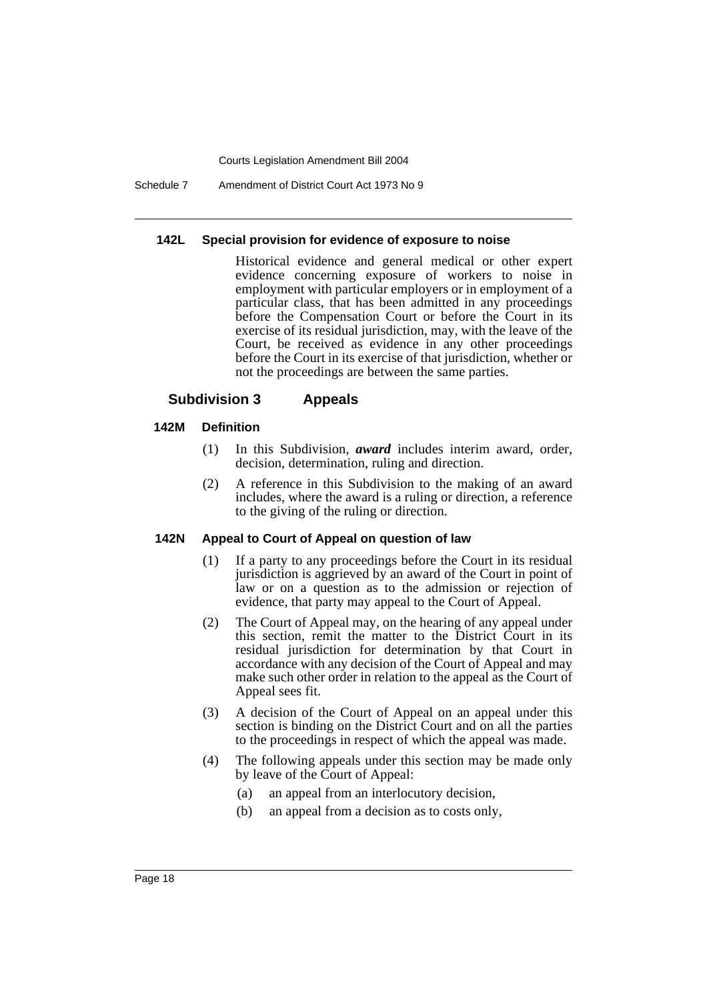Schedule 7 Amendment of District Court Act 1973 No 9

### **142L Special provision for evidence of exposure to noise**

Historical evidence and general medical or other expert evidence concerning exposure of workers to noise in employment with particular employers or in employment of a particular class, that has been admitted in any proceedings before the Compensation Court or before the Court in its exercise of its residual jurisdiction, may, with the leave of the Court, be received as evidence in any other proceedings before the Court in its exercise of that jurisdiction, whether or not the proceedings are between the same parties.

# **Subdivision 3 Appeals**

### **142M Definition**

- (1) In this Subdivision, *award* includes interim award, order, decision, determination, ruling and direction.
- (2) A reference in this Subdivision to the making of an award includes, where the award is a ruling or direction, a reference to the giving of the ruling or direction.

## **142N Appeal to Court of Appeal on question of law**

- (1) If a party to any proceedings before the Court in its residual jurisdiction is aggrieved by an award of the Court in point of law or on a question as to the admission or rejection of evidence, that party may appeal to the Court of Appeal.
- (2) The Court of Appeal may, on the hearing of any appeal under this section, remit the matter to the District Court in its residual jurisdiction for determination by that Court in accordance with any decision of the Court of Appeal and may make such other order in relation to the appeal as the Court of Appeal sees fit.
- (3) A decision of the Court of Appeal on an appeal under this section is binding on the District Court and on all the parties to the proceedings in respect of which the appeal was made.
- (4) The following appeals under this section may be made only by leave of the Court of Appeal:
	- (a) an appeal from an interlocutory decision,
	- (b) an appeal from a decision as to costs only,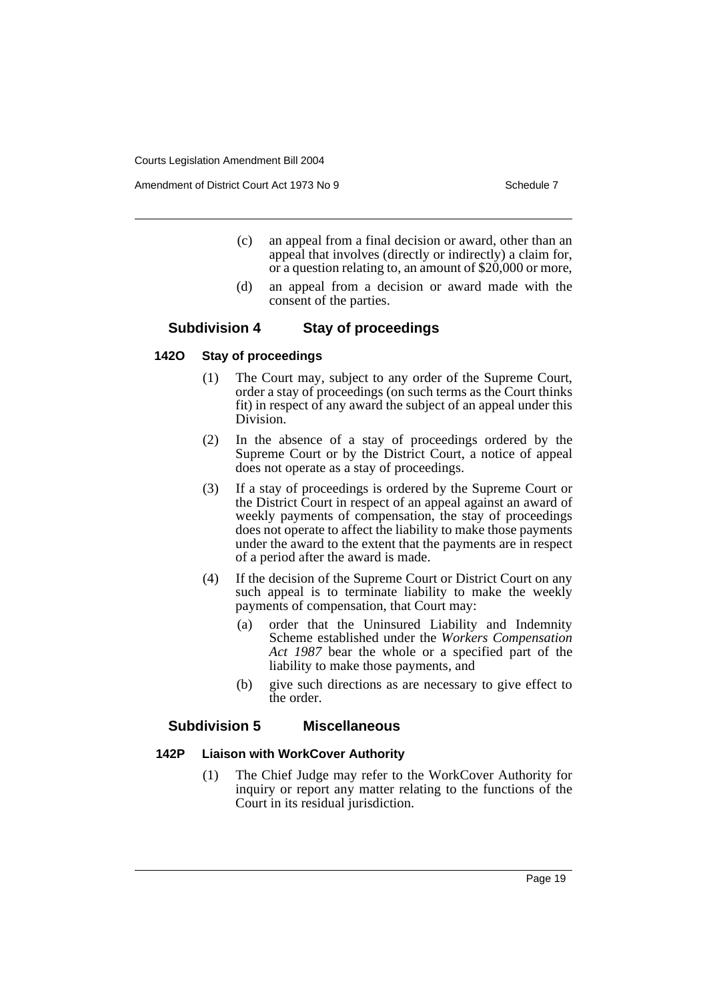Amendment of District Court Act 1973 No 9 Schedule 7

- (c) an appeal from a final decision or award, other than an appeal that involves (directly or indirectly) a claim for, or a question relating to, an amount of \$20,000 or more,
- (d) an appeal from a decision or award made with the consent of the parties.

# **Subdivision 4 Stay of proceedings**

### **142O Stay of proceedings**

- (1) The Court may, subject to any order of the Supreme Court, order a stay of proceedings (on such terms as the Court thinks fit) in respect of any award the subject of an appeal under this Division.
- (2) In the absence of a stay of proceedings ordered by the Supreme Court or by the District Court, a notice of appeal does not operate as a stay of proceedings.
- (3) If a stay of proceedings is ordered by the Supreme Court or the District Court in respect of an appeal against an award of weekly payments of compensation, the stay of proceedings does not operate to affect the liability to make those payments under the award to the extent that the payments are in respect of a period after the award is made.
- (4) If the decision of the Supreme Court or District Court on any such appeal is to terminate liability to make the weekly payments of compensation, that Court may:
	- (a) order that the Uninsured Liability and Indemnity Scheme established under the *Workers Compensation Act 1987* bear the whole or a specified part of the liability to make those payments, and
	- (b) give such directions as are necessary to give effect to the order.

### **Subdivision 5 Miscellaneous**

### **142P Liaison with WorkCover Authority**

(1) The Chief Judge may refer to the WorkCover Authority for inquiry or report any matter relating to the functions of the Court in its residual jurisdiction.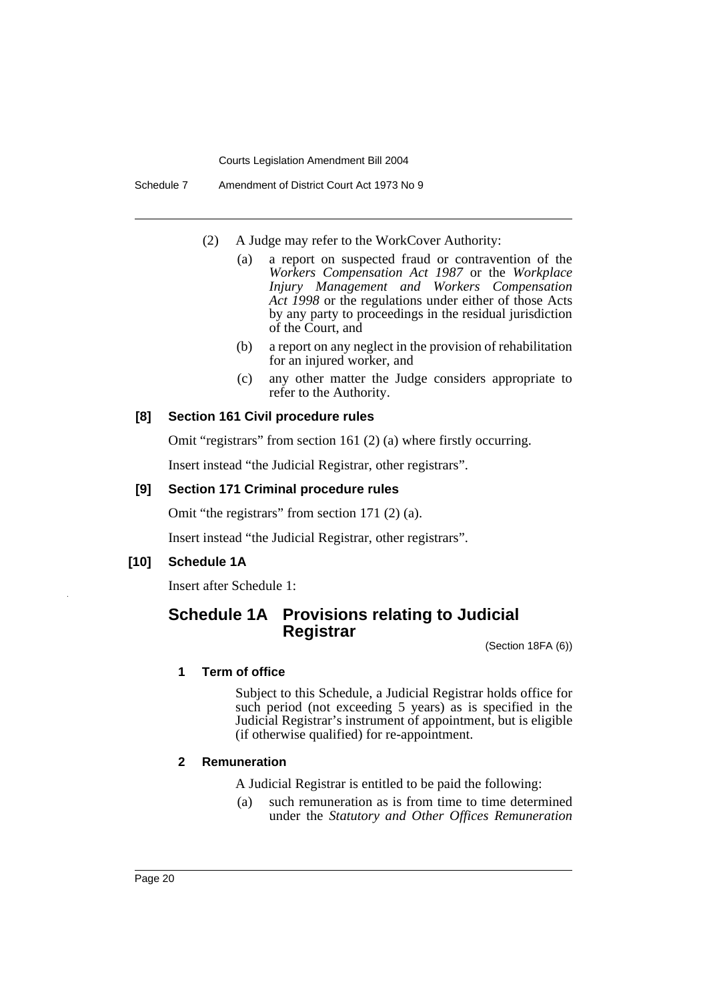Schedule 7 Amendment of District Court Act 1973 No 9

- (2) A Judge may refer to the WorkCover Authority:
	- (a) a report on suspected fraud or contravention of the *Workers Compensation Act 1987* or the *Workplace Injury Management and Workers Compensation Act 1998* or the regulations under either of those Acts by any party to proceedings in the residual jurisdiction of the Court, and
	- (b) a report on any neglect in the provision of rehabilitation for an injured worker, and
	- (c) any other matter the Judge considers appropriate to refer to the Authority.

## **[8] Section 161 Civil procedure rules**

Omit "registrars" from section 161 (2) (a) where firstly occurring.

Insert instead "the Judicial Registrar, other registrars".

### **[9] Section 171 Criminal procedure rules**

Omit "the registrars" from section 171 (2) (a).

Insert instead "the Judicial Registrar, other registrars".

# **[10] Schedule 1A**

Insert after Schedule 1:

# **Schedule 1A Provisions relating to Judicial Registrar**

(Section 18FA (6))

#### **1 Term of office**

Subject to this Schedule, a Judicial Registrar holds office for such period (not exceeding 5 years) as is specified in the Judicial Registrar's instrument of appointment, but is eligible (if otherwise qualified) for re-appointment.

### **2 Remuneration**

A Judicial Registrar is entitled to be paid the following:

(a) such remuneration as is from time to time determined under the *Statutory and Other Offices Remuneration*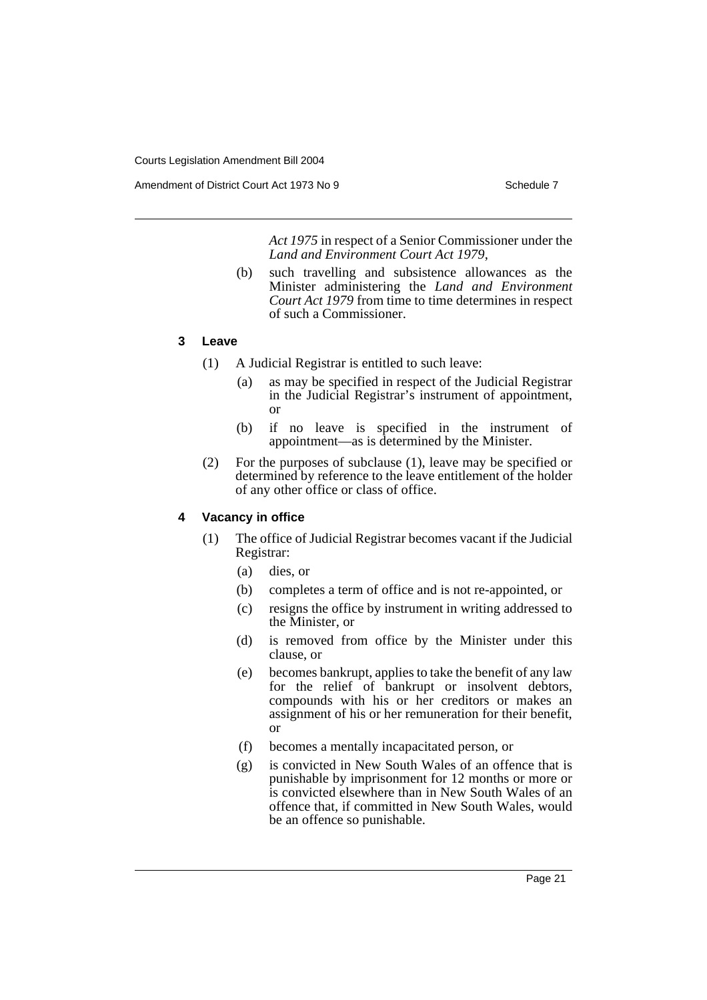Amendment of District Court Act 1973 No 9 Schedule 7

*Act 1975* in respect of a Senior Commissioner under the *Land and Environment Court Act 1979*,

(b) such travelling and subsistence allowances as the Minister administering the *Land and Environment Court Act 1979* from time to time determines in respect of such a Commissioner.

# **3 Leave**

- (1) A Judicial Registrar is entitled to such leave:
	- (a) as may be specified in respect of the Judicial Registrar in the Judicial Registrar's instrument of appointment, or
	- (b) if no leave is specified in the instrument of appointment—as is determined by the Minister.
- (2) For the purposes of subclause (1), leave may be specified or determined by reference to the leave entitlement of the holder of any other office or class of office.

# **4 Vacancy in office**

- (1) The office of Judicial Registrar becomes vacant if the Judicial Registrar:
	- (a) dies, or
	- (b) completes a term of office and is not re-appointed, or
	- (c) resigns the office by instrument in writing addressed to the Minister, or
	- (d) is removed from office by the Minister under this clause, or
	- (e) becomes bankrupt, applies to take the benefit of any law for the relief of bankrupt or insolvent debtors, compounds with his or her creditors or makes an assignment of his or her remuneration for their benefit, or
	- (f) becomes a mentally incapacitated person, or
	- (g) is convicted in New South Wales of an offence that is punishable by imprisonment for 12 months or more or is convicted elsewhere than in New South Wales of an offence that, if committed in New South Wales, would be an offence so punishable.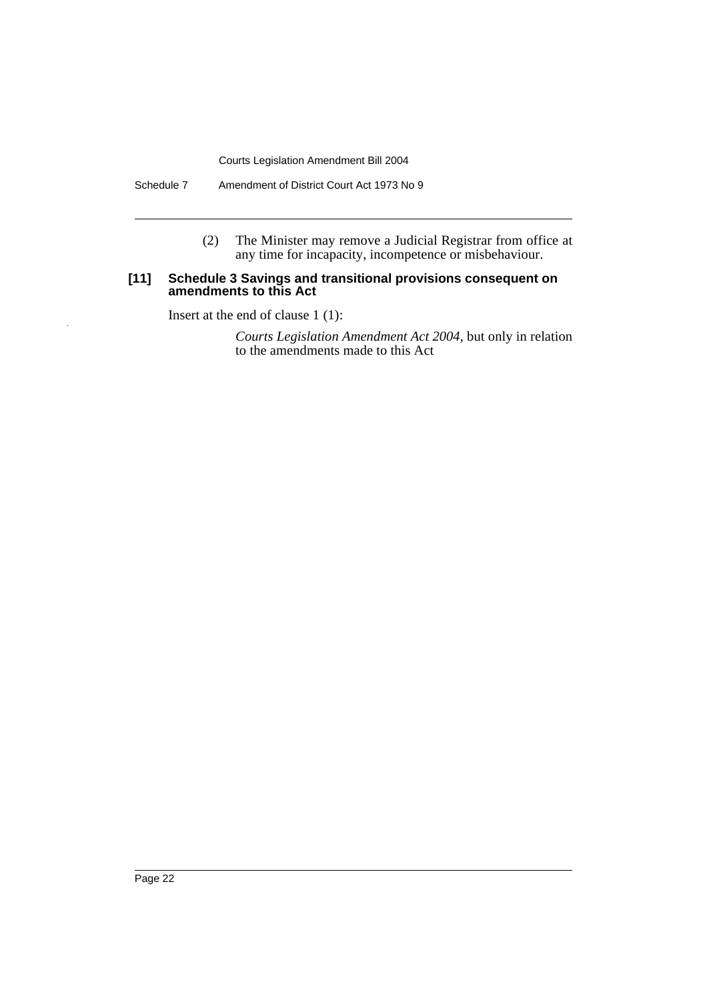Schedule 7 Amendment of District Court Act 1973 No 9

(2) The Minister may remove a Judicial Registrar from office at any time for incapacity, incompetence or misbehaviour.

### **[11] Schedule 3 Savings and transitional provisions consequent on amendments to this Act**

Insert at the end of clause 1 (1):

*Courts Legislation Amendment Act 2004*, but only in relation to the amendments made to this Act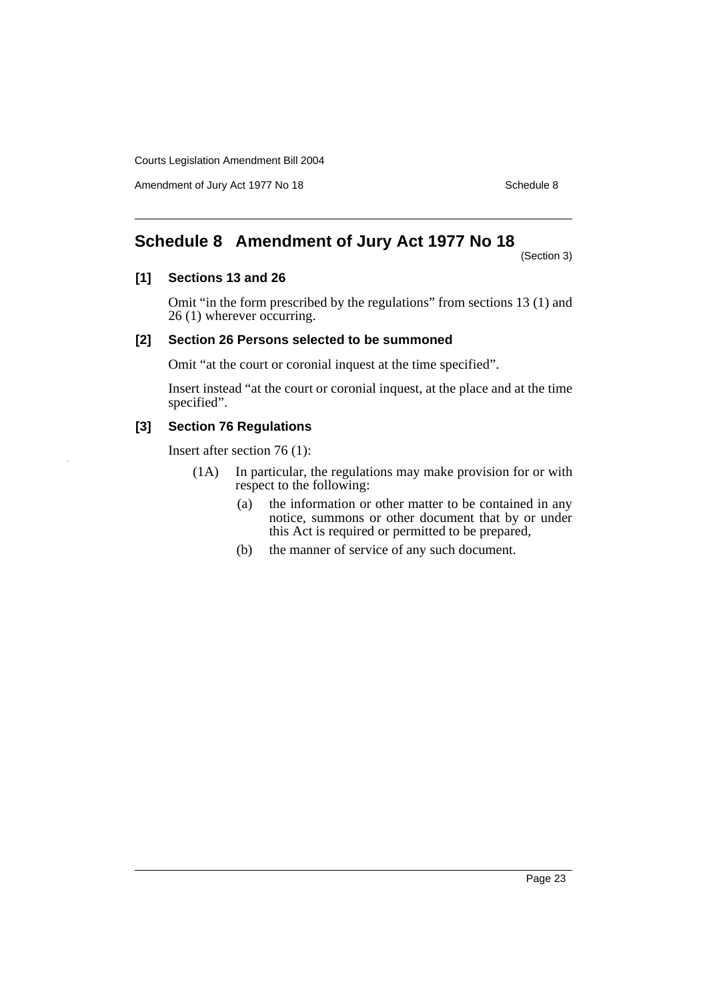Amendment of Jury Act 1977 No 18 Schedule 8

# **Schedule 8 Amendment of Jury Act 1977 No 18**

(Section 3)

### **[1] Sections 13 and 26**

Omit "in the form prescribed by the regulations" from sections 13 (1) and 26 (1) wherever occurring.

## **[2] Section 26 Persons selected to be summoned**

Omit "at the court or coronial inquest at the time specified".

Insert instead "at the court or coronial inquest, at the place and at the time specified".

## **[3] Section 76 Regulations**

Insert after section 76 (1):

- (1A) In particular, the regulations may make provision for or with respect to the following:
	- (a) the information or other matter to be contained in any notice, summons or other document that by or under this Act is required or permitted to be prepared,
	- (b) the manner of service of any such document.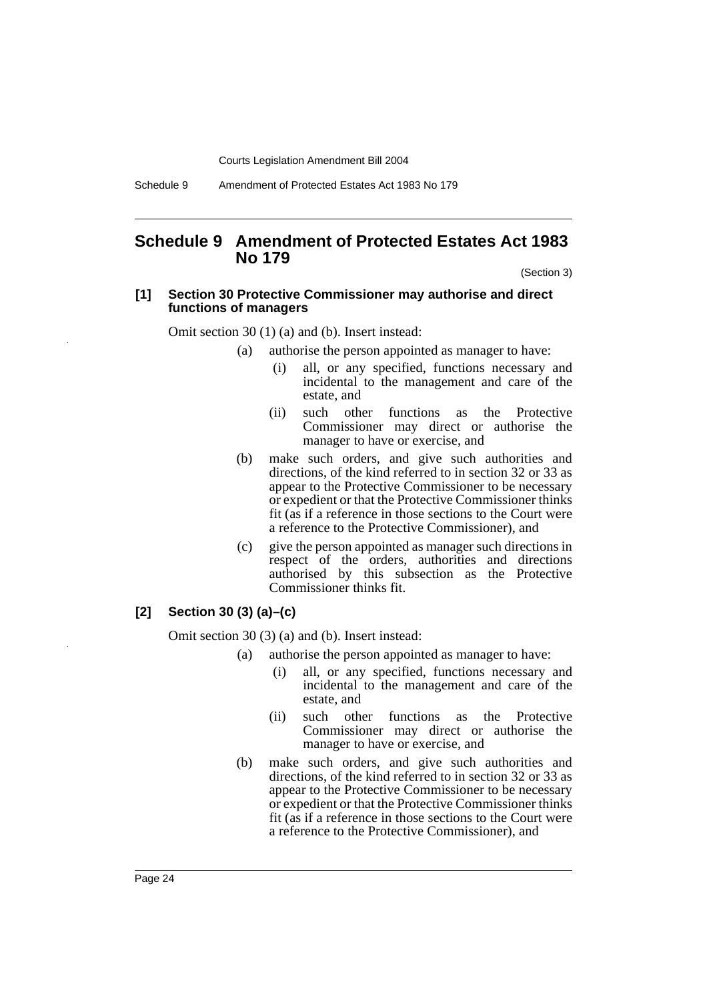Schedule 9 Amendment of Protected Estates Act 1983 No 179

# **Schedule 9 Amendment of Protected Estates Act 1983 No 179**

(Section 3)

#### **[1] Section 30 Protective Commissioner may authorise and direct functions of managers**

Omit section 30 (1) (a) and (b). Insert instead:

- (a) authorise the person appointed as manager to have:
	- (i) all, or any specified, functions necessary and incidental to the management and care of the estate, and
	- (ii) such other functions as the Protective Commissioner may direct or authorise the manager to have or exercise, and
- (b) make such orders, and give such authorities and directions, of the kind referred to in section 32 or 33 as appear to the Protective Commissioner to be necessary or expedient or that the Protective Commissioner thinks fit (as if a reference in those sections to the Court were a reference to the Protective Commissioner), and
- (c) give the person appointed as manager such directions in respect of the orders, authorities and directions authorised by this subsection as the Protective Commissioner thinks fit.

# **[2] Section 30 (3) (a)–(c)**

Omit section 30 (3) (a) and (b). Insert instead:

- (a) authorise the person appointed as manager to have:
	- (i) all, or any specified, functions necessary and incidental to the management and care of the estate, and
	- (ii) such other functions as the Protective Commissioner may direct or authorise the manager to have or exercise, and
- (b) make such orders, and give such authorities and directions, of the kind referred to in section 32 or 33 as appear to the Protective Commissioner to be necessary or expedient or that the Protective Commissioner thinks fit (as if a reference in those sections to the Court were a reference to the Protective Commissioner), and